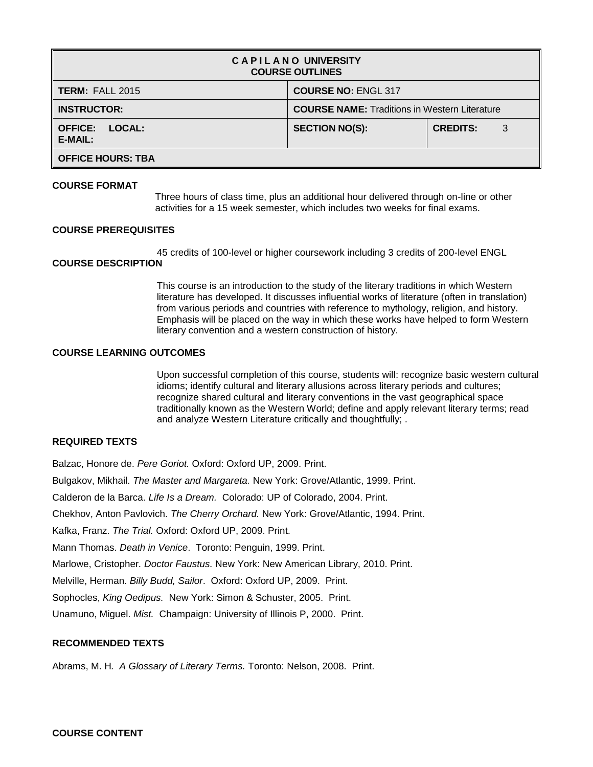| <b>CAPILANO UNIVERSITY</b><br><b>COURSE OUTLINES</b> |                                                      |                      |  |  |  |  |  |  |  |
|------------------------------------------------------|------------------------------------------------------|----------------------|--|--|--|--|--|--|--|
| <b>TERM: FALL 2015</b>                               | <b>COURSE NO: ENGL 317</b>                           |                      |  |  |  |  |  |  |  |
| <b>INSTRUCTOR:</b>                                   | <b>COURSE NAME:</b> Traditions in Western Literature |                      |  |  |  |  |  |  |  |
| <b>LOCAL:</b><br><b>OFFICE:</b><br>E-MAIL:           | <b>SECTION NO(S):</b>                                | <b>CREDITS:</b><br>3 |  |  |  |  |  |  |  |
| <b>OFFICE HOURS: TBA</b>                             |                                                      |                      |  |  |  |  |  |  |  |

### **COURSE FORMAT**

Three hours of class time, plus an additional hour delivered through on-line or other activities for a 15 week semester, which includes two weeks for final exams.

### **COURSE PREREQUISITES**

45 credits of 100-level or higher coursework including 3 credits of 200-level ENGL

# **COURSE DESCRIPTION**

This course is an introduction to the study of the literary traditions in which Western literature has developed. It discusses influential works of literature (often in translation) from various periods and countries with reference to mythology, religion, and history. Emphasis will be placed on the way in which these works have helped to form Western literary convention and a western construction of history.

## **COURSE LEARNING OUTCOMES**

Upon successful completion of this course, students will: recognize basic western cultural idioms; identify cultural and literary allusions across literary periods and cultures; recognize shared cultural and literary conventions in the vast geographical space traditionally known as the Western World; define and apply relevant literary terms; read and analyze Western Literature critically and thoughtfully; .

## **REQUIRED TEXTS**

Balzac, Honore de. *Pere Goriot.* Oxford: Oxford UP, 2009. Print. Bulgakov, Mikhail. *The Master and Margareta.* New York: Grove/Atlantic, 1999. Print. Calderon de la Barca. *Life Is a Dream.* Colorado: UP of Colorado, 2004. Print. Chekhov, Anton Pavlovich. *The Cherry Orchard.* New York: Grove/Atlantic, 1994. Print. Kafka, Franz. *The Trial.* Oxford: Oxford UP, 2009. Print. Mann Thomas. *Death in Venice*. Toronto: Penguin, 1999. Print. Marlowe, Cristopher*. Doctor Faustus.* New York: New American Library, 2010. Print. Melville, Herman. *Billy Budd, Sailor*. Oxford: Oxford UP, 2009. Print. Sophocles, *King Oedipus.* New York: Simon & Schuster, 2005. Print. Unamuno, Miguel. *Mist.* Champaign: University of Illinois P, 2000. Print.

### **RECOMMENDED TEXTS**

Abrams, M. H*. A Glossary of Literary Terms.* Toronto: Nelson, 2008. Print.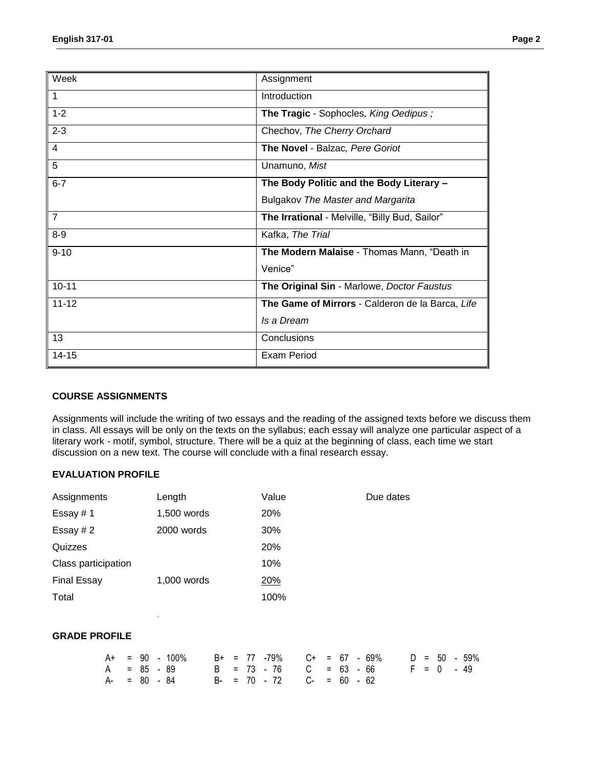| Week           | Assignment                                       |
|----------------|--------------------------------------------------|
| $\mathbf{1}$   | Introduction                                     |
| $1 - 2$        | The Tragic - Sophocles, King Oedipus;            |
| $2 - 3$        | Chechov, The Cherry Orchard                      |
| $\overline{4}$ | The Novel - Balzac, Pere Goriot                  |
| 5              | Unamuno, Mist                                    |
| $6 - 7$        | The Body Politic and the Body Literary -         |
|                | <b>Bulgakov The Master and Margarita</b>         |
| $\overline{7}$ | The Irrational - Melville, "Billy Bud, Sailor"   |
| $8-9$          | Kafka, The Trial                                 |
| $9 - 10$       | The Modern Malaise - Thomas Mann, "Death in      |
|                | Venice"                                          |
| $10 - 11$      | The Original Sin - Marlowe, Doctor Faustus       |
| $11 - 12$      | The Game of Mirrors - Calderon de la Barca, Life |
|                | Is a Dream                                       |
| 13             | Conclusions                                      |
| $14 - 15$      | <b>Exam Period</b>                               |

### **COURSE ASSIGNMENTS**

Assignments will include the writing of two essays and the reading of the assigned texts before we discuss them in class. All essays will be only on the texts on the syllabus; each essay will analyze one particular aspect of a literary work - motif, symbol, structure. There will be a quiz at the beginning of class, each time we start discussion on a new text. The course will conclude with a final research essay.

# **EVALUATION PROFILE**

| Assignments         | Length      | Value      | Due dates |  |  |  |  |
|---------------------|-------------|------------|-----------|--|--|--|--|
| Essay #1            | 1,500 words | <b>20%</b> |           |  |  |  |  |
| Essay # $2$         | 2000 words  | 30%        |           |  |  |  |  |
| Quizzes             |             | 20%        |           |  |  |  |  |
| Class participation |             | 10%        |           |  |  |  |  |
| <b>Final Essay</b>  | 1,000 words | 20%        |           |  |  |  |  |
| Total               |             | 100%       |           |  |  |  |  |
|                     |             |            |           |  |  |  |  |

# **GRADE PROFILE**

.

|                 |  | $A+$ = 90 - 100% $B+$ = 77 -79% $C+$ = 67 - 69% $D = 50$ - 59% |  |  |                                    |  |  |  |  |  |  |
|-----------------|--|----------------------------------------------------------------|--|--|------------------------------------|--|--|--|--|--|--|
|                 |  | A = 85 - 89                                                    |  |  | B = 73 - 76 C = 63 - 66 F = 0 - 49 |  |  |  |  |  |  |
| $A - = 80 - 84$ |  |                                                                |  |  |                                    |  |  |  |  |  |  |